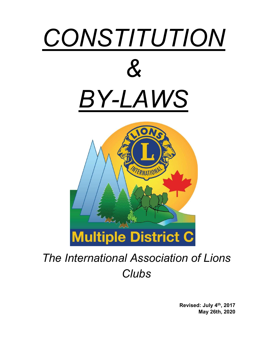

# The International Association of Lions **Clubs**

Revised: July 4th, 2017 May 26th, 2020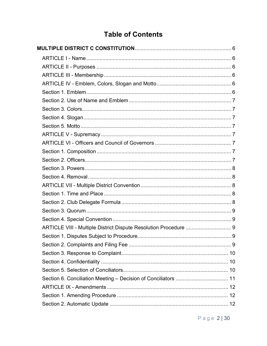## **Table of Contents**

| ARTICLE VIII - Multiple District Dispute Resolution Procedure  9 |  |
|------------------------------------------------------------------|--|
|                                                                  |  |
|                                                                  |  |
|                                                                  |  |
|                                                                  |  |
|                                                                  |  |
|                                                                  |  |
|                                                                  |  |
|                                                                  |  |
|                                                                  |  |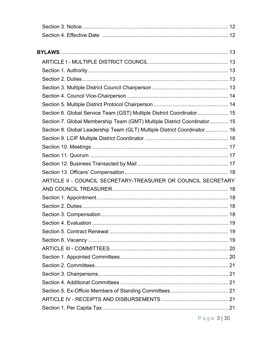| Section 6. Global Service Team (GST) Multiple District Coordinator 15    |  |
|--------------------------------------------------------------------------|--|
| Section 7. Global Membership Team (GMT) Multiple District Coordinator 15 |  |
| Section 8. Global Leadership Team (GLT) Multiple District Coordinator 16 |  |
|                                                                          |  |
|                                                                          |  |
|                                                                          |  |
|                                                                          |  |
|                                                                          |  |
| ARTICLE II - COUNCIL SECRETARY-TREASURER OR COUNCIL SECRETARY            |  |
|                                                                          |  |
|                                                                          |  |
|                                                                          |  |
|                                                                          |  |
|                                                                          |  |
|                                                                          |  |
|                                                                          |  |
|                                                                          |  |
|                                                                          |  |
|                                                                          |  |
|                                                                          |  |
|                                                                          |  |
|                                                                          |  |
|                                                                          |  |
|                                                                          |  |

Page 3|30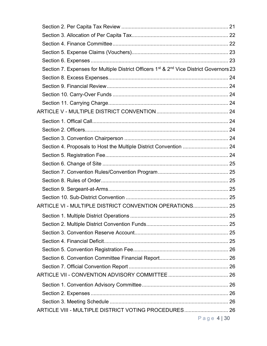| Section 7. Expenses for Multiple District Officers 1 <sup>st</sup> & 2 <sup>nd</sup> Vice District Governors 23 |             |
|-----------------------------------------------------------------------------------------------------------------|-------------|
|                                                                                                                 |             |
|                                                                                                                 |             |
|                                                                                                                 |             |
|                                                                                                                 |             |
|                                                                                                                 |             |
|                                                                                                                 |             |
|                                                                                                                 |             |
|                                                                                                                 |             |
|                                                                                                                 |             |
|                                                                                                                 |             |
|                                                                                                                 |             |
|                                                                                                                 |             |
|                                                                                                                 |             |
|                                                                                                                 |             |
|                                                                                                                 |             |
| ARTICLE VI - MULTIPLE DISTRICT CONVENTION OPERATIONS 25                                                         |             |
|                                                                                                                 |             |
|                                                                                                                 |             |
|                                                                                                                 |             |
|                                                                                                                 |             |
|                                                                                                                 |             |
|                                                                                                                 |             |
|                                                                                                                 |             |
|                                                                                                                 |             |
|                                                                                                                 |             |
|                                                                                                                 |             |
|                                                                                                                 |             |
| ARTICLE VIII - MULTIPLE DISTRICT VOTING PROCEDURES 26                                                           |             |
|                                                                                                                 | Page 4   30 |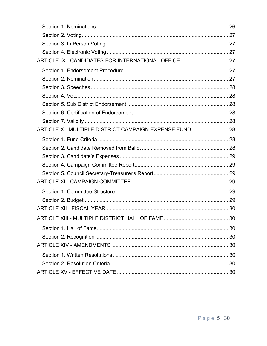| ARTICLE IX - CANDIDATES FOR INTERNATIONAL OFFICE  27   |  |
|--------------------------------------------------------|--|
|                                                        |  |
|                                                        |  |
|                                                        |  |
|                                                        |  |
|                                                        |  |
|                                                        |  |
|                                                        |  |
| ARTICLE X - MULTIPLE DISTRICT CAMPAIGN EXPENSE FUND 28 |  |
|                                                        |  |
|                                                        |  |
|                                                        |  |
|                                                        |  |
|                                                        |  |
|                                                        |  |
|                                                        |  |
|                                                        |  |
|                                                        |  |
|                                                        |  |
|                                                        |  |
|                                                        |  |
|                                                        |  |
|                                                        |  |
|                                                        |  |
|                                                        |  |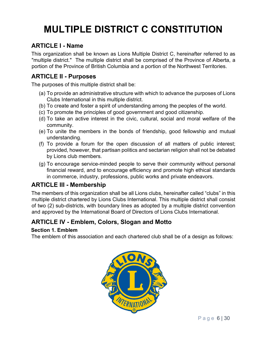## MULTIPLE DISTRICT C CONSTITUTION

## ARTICLE I - Name

This organization shall be known as Lions Multiple District C, hereinafter referred to as "multiple district." The multiple district shall be comprised of the Province of Alberta, a portion of the Province of British Columbia and a portion of the Northwest Territories.

## ARTICLE II - Purposes

The purposes of this multiple district shall be:

- (a) To provide an administrative structure with which to advance the purposes of Lions Clubs International in this multiple district.
- (b) To create and foster a spirit of understanding among the peoples of the world.
- (c) To promote the principles of good government and good citizenship.
- (d) To take an active interest in the civic, cultural, social and moral welfare of the community.
- (e) To unite the members in the bonds of friendship, good fellowship and mutual understanding.
- (f) To provide a forum for the open discussion of all matters of public interest; provided, however, that partisan politics and sectarian religion shall not be debated by Lions club members.
- (g) To encourage service-minded people to serve their community without personal financial reward, and to encourage efficiency and promote high ethical standards in commerce, industry, professions, public works and private endeavors.

## ARTICLE III - Membership

The members of this organization shall be all Lions clubs, hereinafter called "clubs" in this multiple district chartered by Lions Clubs International. This multiple district shall consist of two (2) sub-districts, with boundary lines as adopted by a multiple district convention and approved by the International Board of Directors of Lions Clubs International.

## ARTICLE IV - Emblem, Colors, Slogan and Motto

#### Section 1. Emblem

The emblem of this association and each chartered club shall be of a design as follows:

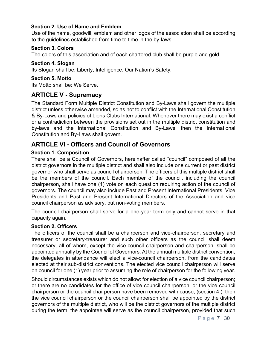#### Section 2. Use of Name and Emblem

Use of the name, goodwill, emblem and other logos of the association shall be according to the guidelines established from time to time in the by-laws.

#### Section 3. Colors

The colors of this association and of each chartered club shall be purple and gold.

#### Section 4. Slogan

Its Slogan shall be: Liberty, Intelligence, Our Nation's Safety.

#### Section 5. Motto

Its Motto shall be: We Serve.

## ARTICLE V - Supremacy

The Standard Form Multiple District Constitution and By-Laws shall govern the multiple district unless otherwise amended, so as not to conflict with the International Constitution & By-Laws and policies of Lions Clubs International. Whenever there may exist a conflict or a contradiction between the provisions set out in the multiple district constitution and by-laws and the International Constitution and By-Laws, then the International Constitution and By-Laws shall govern.

## ARTICLE VI - Officers and Council of Governors

#### Section 1. Composition

There shall be a Council of Governors, hereinafter called "council" composed of all the district governors in the multiple district and shall also include one current or past district governor who shall serve as council chairperson. The officers of this multiple district shall be the members of the council. Each member of the council, including the council chairperson, shall have one (1) vote on each question requiring action of the council of governors. The council may also include Past and Present International Presidents, Vice Presidents and Past and Present International Directors of the Association and vice council chairperson as advisory, but non-voting members.

The council chairperson shall serve for a one-year term only and cannot serve in that capacity again.

#### Section 2. Officers

The officers of the council shall be a chairperson and vice-chairperson, secretary and treasurer or secretary-treasurer and such other officers as the council shall deem necessary, all of whom, except the vice-council chairperson and chairperson, shall be appointed annually by the Council of Governors. At the annual multiple district convention, the delegates in attendance will elect a vice-council chairperson, from the candidates elected at their sub-district conventions. The elected vice council chairperson will serve on council for one (1) year prior to assuming the role of chairperson for the following year.

Should circumstances exists which do not allow: for election of a vice council chairperson; or there are no candidates for the office of vice council chairperson; or the vice council chairperson or the council chairperson have been removed with cause; (section 4.) then the vice council chairperson or the council chairperson shall be appointed by the district governors of the multiple district, who will be the district governors of the multiple district during the term, the appointee will serve as the council chairperson, provided that such

P a g e 7 | 30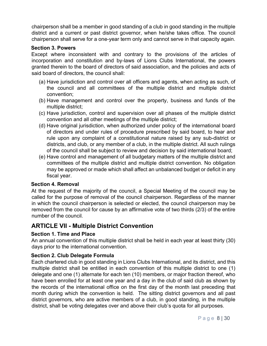chairperson shall be a member in good standing of a club in good standing in the multiple district and a current or past district governor, when he/she takes office. The council chairperson shall serve for a one-year term only and cannot serve in that capacity again.

#### Section 3. Powers

Except where inconsistent with and contrary to the provisions of the articles of incorporation and constitution and by-laws of Lions Clubs International, the powers granted therein to the board of directors of said association, and the policies and acts of said board of directors, the council shall:

- (a) Have jurisdiction and control over all officers and agents, when acting as such, of the council and all committees of the multiple district and multiple district convention;
- (b) Have management and control over the property, business and funds of the multiple district;
- (c) Have jurisdiction, control and supervision over all phases of the multiple district convention and all other meetings of the multiple district;
- (d) Have original jurisdiction, when authorized under policy of the international board of directors and under rules of procedure prescribed by said board, to hear and rule upon any complaint of a constitutional nature raised by any sub-district or districts, and club, or any member of a club, in the multiple district. All such rulings of the council shall be subject to review and decision by said international board;
- (e) Have control and management of all budgetary matters of the multiple district and committees of the multiple district and multiple district convention. No obligation may be approved or made which shall affect an unbalanced budget or deficit in any fiscal year.

#### Section 4. Removal

At the request of the majority of the council, a Special Meeting of the council may be called for the purpose of removal of the council chairperson. Regardless of the manner in which the council chairperson is selected or elected, the council chairperson may be removed from the council for cause by an affirmative vote of two thirds (2/3) of the entire number of the council.

## ARTICLE VII - Multiple District Convention

#### Section 1. Time and Place

An annual convention of this multiple district shall be held in each year at least thirty (30) days prior to the international convention.

#### Section 2. Club Delegate Formula

Each chartered club in good standing in Lions Clubs International, and its district, and this multiple district shall be entitled in each convention of this multiple district to one (1) delegate and one (1) alternate for each ten (10) members, or major fraction thereof, who have been enrolled for at least one year and a day in the club of said club as shown by the records of the international office on the first day of the month last preceding that month during which the convention is held. The sitting district governors and all past district governors, who are active members of a club, in good standing, in the multiple district, shall be voting delegates over and above their club's quota for all purposes.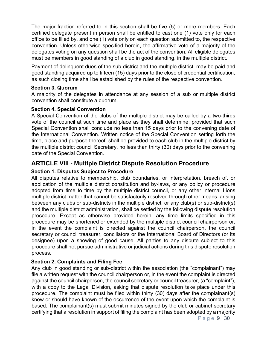The major fraction referred to in this section shall be five (5) or more members. Each certified delegate present in person shall be entitled to cast one (1) vote only for each office to be filled by, and one (1) vote only on each question submitted to, the respective convention. Unless otherwise specified herein, the affirmative vote of a majority of the delegates voting on any question shall be the act of the convention. All eligible delegates must be members in good standing of a club in good standing, in the multiple district.

Payment of delinquent dues of the sub-district and the multiple district, may be paid and good standing acquired up to fifteen (15) days prior to the close of credential certification, as such closing time shall be established by the rules of the respective convention.

#### Section 3. Quorum

A majority of the delegates in attendance at any session of a sub or multiple district convention shall constitute a quorum.

#### Section 4. Special Convention

A Special Convention of the clubs of the multiple district may be called by a two-thirds vote of the council at such time and place as they shall determine; provided that such Special Convention shall conclude no less than 15 days prior to the convening date of the International Convention. Written notice of the Special Convention setting forth the time, place and purpose thereof, shall be provided to each club in the multiple district by the multiple district council Secretary, no less than thirty (30) days prior to the convening date of the Special Convention.

## ARTICLE VIII - Multiple District Dispute Resolution Procedure

#### Section 1. Disputes Subject to Procedure

All disputes relative to membership, club boundaries, or interpretation, breach of, or application of the multiple district constitution and by-laws, or any policy or procedure adopted from time to time by the multiple district council, or any other internal Lions multiple district matter that cannot be satisfactorily resolved through other means, arising between any clubs or sub-districts in the multiple district, or any club(s) or sub-district(s) and the multiple district administration, shall be settled by the following dispute resolution procedure. Except as otherwise provided herein, any time limits specified in this procedure may be shortened or extended by the multiple district council chairperson or, in the event the complaint is directed against the council chairperson, the council secretary or council treasurer, conciliators or the International Board of Directors (or its designee) upon a showing of good cause. All parties to any dispute subject to this procedure shall not pursue administrative or judicial actions during this dispute resolution process.

#### Section 2. Complaints and Filing Fee

Any club in good standing or sub-district within the association (the "complainant") may file a written request with the council chairperson or, in the event the complaint is directed against the council chairperson, the council secretary or council treasurer, (a "complaint"), with a copy to the Legal Division, asking that dispute resolution take place under this procedure. The complaint must be filed within thirty (30) days after the complainant(s) knew or should have known of the occurrence of the event upon which the complaint is based. The complainant(s) must submit minutes signed by the club or cabinet secretary certifying that a resolution in support of filing the complaint has been adopted by a majority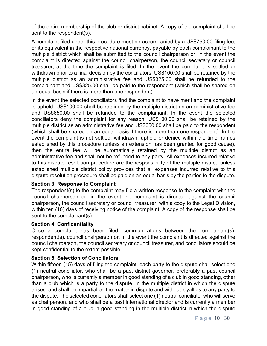of the entire membership of the club or district cabinet. A copy of the complaint shall be sent to the respondent(s).

A complaint filed under this procedure must be accompanied by a US\$750.00 filing fee, or its equivalent in the respective national currency, payable by each complainant to the multiple district which shall be submitted to the council chairperson or, in the event the complaint is directed against the council chairperson, the council secretary or council treasurer, at the time the complaint is filed. In the event the complaint is settled or withdrawn prior to a final decision by the conciliators, US\$100.00 shall be retained by the multiple district as an administrative fee and US\$325.00 shall be refunded to the complainant and US\$325.00 shall be paid to the respondent (which shall be shared on an equal basis if there is more than one respondent).

In the event the selected conciliators find the complaint to have merit and the complaint is upheld, US\$100.00 shall be retained by the multiple district as an administrative fee and US\$650.00 shall be refunded to the complainant. In the event the selected conciliators deny the complaint for any reason, US\$100.00 shall be retained by the multiple district as an administrative fee and US\$650.00 shall be paid to the respondent (which shall be shared on an equal basis if there is more than one respondent). In the event the complaint is not settled, withdrawn, upheld or denied within the time frames established by this procedure (unless an extension has been granted for good cause), then the entire fee will be automatically retained by the multiple district as an administrative fee and shall not be refunded to any party. All expenses incurred relative to this dispute resolution procedure are the responsibility of the multiple district, unless established multiple district policy provides that all expenses incurred relative to this dispute resolution procedure shall be paid on an equal basis by the parties to the dispute.

#### Section 3. Response to Complaint

The respondent(s) to the complaint may file a written response to the complaint with the council chairperson or, in the event the complaint is directed against the council chairperson, the council secretary or council treasurer, with a copy to the Legal Division, within ten (10) days of receiving notice of the complaint. A copy of the response shall be sent to the complainant(s).

#### Section 4. Confidentiality

Once a complaint has been filed, communications between the complainant(s), respondent(s), council chairperson or, in the event the complaint is directed against the council chairperson, the council secretary or council treasurer, and conciliators should be kept confidential to the extent possible.

#### Section 5. Selection of Conciliators

Within fifteen (15) days of filing the complaint, each party to the dispute shall select one (1) neutral conciliator, who shall be a past district governor, preferably a past council chairperson, who is currently a member in good standing of a club in good standing, other than a club which is a party to the dispute, in the multiple district in which the dispute arises, and shall be impartial on the matter in dispute and without loyalties to any party to the dispute. The selected conciliators shall select one (1) neutral conciliator who will serve as chairperson, and who shall be a past international director and is currently a member in good standing of a club in good standing in the multiple district in which the dispute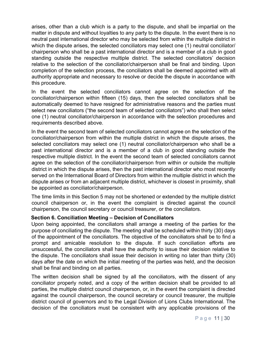arises, other than a club which is a party to the dispute, and shall be impartial on the matter in dispute and without loyalties to any party to the dispute. In the event there is no neutral past international director who may be selected from within the multiple district in which the dispute arises, the selected conciliators may select one (1) neutral conciliator/ chairperson who shall be a past international director and is a member of a club in good standing outside the respective multiple district. The selected conciliators' decision relative to the selection of the conciliator/chairperson shall be final and binding. Upon completion of the selection process, the conciliators shall be deemed appointed with all authority appropriate and necessary to resolve or decide the dispute in accordance with this procedure.

In the event the selected conciliators cannot agree on the selection of the conciliator/chairperson within fifteen (15) days, then the selected conciliators shall be automatically deemed to have resigned for administrative reasons and the parties must select new conciliators ("the second team of selected conciliators") who shall then select one (1) neutral conciliator/chairperson in accordance with the selection procedures and requirements described above.

In the event the second team of selected conciliators cannot agree on the selection of the conciliator/chairperson from within the multiple district in which the dispute arises, the selected conciliators may select one (1) neutral conciliator/chairperson who shall be a past international director and is a member of a club in good standing outside the respective multiple district. In the event the second team of selected conciliators cannot agree on the selection of the conciliator/chairperson from within or outside the multiple district in which the dispute arises, then the past international director who most recently served on the International Board of Directors from within the multiple district in which the dispute arises or from an adjacent multiple district, whichever is closest in proximity, shall be appointed as conciliator/chairperson.

The time limits in this Section 5 may not be shortened or extended by the multiple district council chairperson or, in the event the complaint is directed against the council chairperson, the council secretary or council treasurer, or the conciliators.

#### Section 6. Conciliation Meeting – Decision of Conciliators

Upon being appointed, the conciliators shall arrange a meeting of the parties for the purpose of conciliating the dispute. The meeting shall be scheduled within thirty (30) days of the appointment of the conciliators. The objective of the conciliators shall be to find a prompt and amicable resolution to the dispute. If such conciliation efforts are unsuccessful, the conciliators shall have the authority to issue their decision relative to the dispute. The conciliators shall issue their decision in writing no later than thirty (30) days after the date on which the initial meeting of the parties was held, and the decision shall be final and binding on all parties.

The written decision shall be signed by all the conciliators, with the dissent of any conciliator properly noted, and a copy of the written decision shall be provided to all parties, the multiple district council chairperson, or, in the event the complaint is directed against the council chairperson, the council secretary or council treasurer, the multiple district council of governors and to the Legal Division of Lions Clubs International. The decision of the conciliators must be consistent with any applicable provisions of the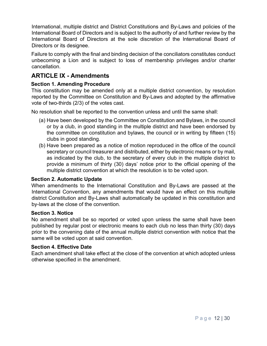International, multiple district and District Constitutions and By-Laws and policies of the International Board of Directors and is subject to the authority of and further review by the International Board of Directors at the sole discretion of the International Board of Directors or its designee.

Failure to comply with the final and binding decision of the conciliators constitutes conduct unbecoming a Lion and is subject to loss of membership privileges and/or charter cancellation.

## ARTICLE IX - Amendments

#### Section 1. Amending Procedure

This constitution may be amended only at a multiple district convention, by resolution reported by the Committee on Constitution and By-Laws and adopted by the affirmative vote of two-thirds (2/3) of the votes cast.

No resolution shall be reported to the convention unless and until the same shall:

- (a) Have been developed by the Committee on Constitution and Bylaws, in the council or by a club, in good standing in the multiple district and have been endorsed by the committee on constitution and bylaws, the council or in writing by fifteen (15) clubs in good standing.
- (b) Have been prepared as a notice of motion reproduced in the office of the council secretary or council treasurer and distributed, either by electronic means or by mail, as indicated by the club, to the secretary of every club in the multiple district to provide a minimum of thirty (30) days' notice prior to the official opening of the multiple district convention at which the resolution is to be voted upon.

#### Section 2. Automatic Update

When amendments to the International Constitution and By-Laws are passed at the International Convention, any amendments that would have an effect on this multiple district Constitution and By-Laws shall automatically be updated in this constitution and by-laws at the close of the convention.

#### Section 3. Notice

No amendment shall be so reported or voted upon unless the same shall have been published by regular post or electronic means to each club no less than thirty (30) days prior to the convening date of the annual multiple district convention with notice that the same will be voted upon at said convention.

#### Section 4. Effective Date

Each amendment shall take effect at the close of the convention at which adopted unless otherwise specified in the amendment.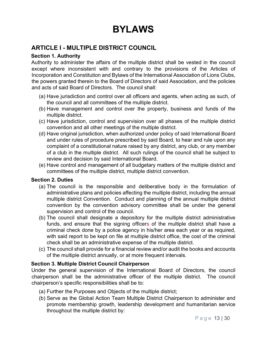## BYLAWS

## ARTICLE I - MULTIPLE DISTRICT COUNCIL

#### Section 1. Authority

Authority to administer the affairs of the multiple district shall be vested in the council except where inconsistent with and contrary to the provisions of the Articles of Incorporation and Constitution and Bylaws of the International Association of Lions Clubs, the powers granted therein to the Board of Directors of said Association, and the policies and acts of said Board of Directors. The council shall:

- (a) Have jurisdiction and control over all officers and agents, when acting as such, of the council and all committees of the multiple district.
- (b) Have management and control over the property, business and funds of the multiple district.
- (c) Have jurisdiction, control and supervision over all phases of the multiple district convention and all other meetings of the multiple district.
- (d) Have original jurisdiction, when authorized under policy of said International Board and under rules of procedure prescribed by said Board, to hear and rule upon any complaint of a constitutional nature raised by any district, any club, or any member of a club in the multiple district. All such rulings of the council shall be subject to review and decision by said International Board.
- (e) Have control and management of all budgetary matters of the multiple district and committees of the multiple district, multiple district convention.

#### Section 2. Duties

- (a) The council is the responsible and deliberative body in the formulation of administrative plans and policies affecting the multiple district, including the annual multiple district Convention. Conduct and planning of the annual multiple district convention by the convention advisory committee shall be under the general supervision and control of the council.
- (b) The council shall designate a depository for the multiple district administrative funds, and ensure that the signing officers of the multiple district shall have a criminal check done by a police agency in his/her area each year or as required, with said report to be kept on file at multiple district office, the cost of the criminal check shall be an administrative expense of the multiple district.
- (c) The council shall provide for a financial review and/or audit the books and accounts of the multiple district annually, or at more frequent intervals.

#### Section 3. Multiple District Council Chairperson

Under the general supervision of the International Board of Directors, the council chairperson shall be the administrative officer of the multiple district. The council chairperson's specific responsibilities shall be to:

- (a) Further the Purposes and Objects of the multiple district;
- (b) Serve as the Global Action Team Multiple District Chairperson to administer and promote membership growth, leadership development and humanitarian service throughout the multiple district by: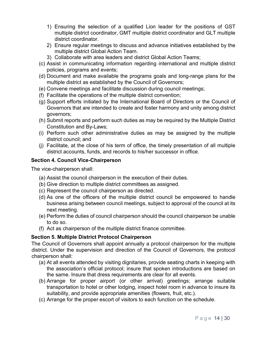- 1) Ensuring the selection of a qualified Lion leader for the positions of GST multiple district coordinator, GMT multiple district coordinator and GLT multiple district coordinator.
- 2) Ensure regular meetings to discuss and advance initiatives established by the multiple district Global Action Team.
- 3) Collaborate with area leaders and district Global Action Teams;
- (c) Assist in communicating information regarding international and multiple district policies, programs and events;
- (d) Document and make available the programs goals and long-range plans for the multiple district as established by the Council of Governors;
- (e) Convene meetings and facilitate discussion during council meetings;
- (f) Facilitate the operations of the multiple district convention;
- (g) Support efforts initiated by the International Board of Directors or the Council of Governors that are intended to create and foster harmony and unity among district governors;
- (h) Submit reports and perform such duties as may be required by the Multiple District Constitution and By-Laws;
- (i) Perform such other administrative duties as may be assigned by the multiple district council; and
- (j) Facilitate, at the close of his term of office, the timely presentation of all multiple district accounts, funds, and records to his/her successor in office.

#### Section 4. Council Vice-Chairperson

The vice-chairperson shall:

- (a) Assist the council chairperson in the execution of their duties.
- (b) Give direction to multiple district committees as assigned.
- (c) Represent the council chairperson as directed.
- (d) As one of the officers of the multiple district council be empowered to handle business arising between council meetings, subject to approval of the council at its next meeting.
- (e) Perform the duties of council chairperson should the council chairperson be unable to do so.
- (f) Act as chairperson of the multiple district finance committee.

#### Section 5. Multiple District Protocol Chairperson

The Council of Governors shall appoint annually a protocol chairperson for the multiple district. Under the supervision and direction of the Council of Governors, the protocol chairperson shall:

- (a) At all events attended by visiting dignitaries, provide seating charts in keeping with the association's official protocol; insure that spoken introductions are based on the same. Insure that dress requirements are clear for all events.
- (b) Arrange for proper airport (or other arrival) greetings; arrange suitable transportation to hotel or other lodging, inspect hotel room in advance to insure its suitability, and provide appropriate amenities (flowers, fruit, etc.).
- (c) Arrange for the proper escort of visitors to each function on the schedule.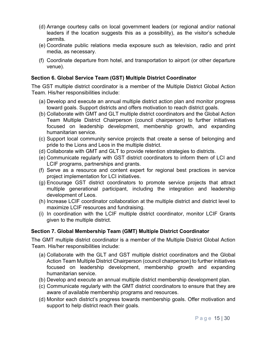- (d) Arrange courtesy calls on local government leaders (or regional and/or national leaders if the location suggests this as a possibility), as the visitor's schedule permits.
- (e) Coordinate public relations media exposure such as television, radio and print media, as necessary.
- (f) Coordinate departure from hotel, and transportation to airport (or other departure venue).

#### Section 6. Global Service Team (GST) Multiple District Coordinator

The GST multiple district coordinator is a member of the Multiple District Global Action Team. His/her responsibilities include:

- (a) Develop and execute an annual multiple district action plan and monitor progress toward goals. Support districts and offers motivation to reach district goals.
- (b) Collaborate with GMT and GLT multiple district coordinators and the Global Action Team Multiple District Chairperson (council chairperson) to further initiatives focused on leadership development, membership growth, and expanding humanitarian service.
- (c) Support local community service projects that create a sense of belonging and pride to the Lions and Leos in the multiple district.
- (d) Collaborate with GMT and GLT to provide retention strategies to districts.
- (e) Communicate regularly with GST district coordinators to inform them of LCI and LCIF programs, partnerships and grants.
- (f) Serve as a resource and content expert for regional best practices in service project implementation for LCI initiatives.
- (g) Encourage GST district coordinators to promote service projects that attract multiple generational participant, including the integration and leadership development of Leos.
- (h) Increase LCIF coordinator collaboration at the multiple district and district level to maximize LCIF resources and fundraising.
- (i) In coordination with the LCIF multiple district coordinator, monitor LCIF Grants given to the multiple district.

#### Section 7. Global Membership Team (GMT) Multiple District Coordinator

The GMT multiple district coordinator is a member of the Multiple District Global Action Team. His/her responsibilities include:

- (a) Collaborate with the GLT and GST multiple district coordinators and the Global Action Team Multiple District Chairperson (council chairperson) to further initiatives focused on leadership development, membership growth and expanding humanitarian service.
- (b) Develop and execute an annual multiple district membership development plan.
- (c) Communicate regularly with the GMT district coordinators to ensure that they are aware of available membership programs and resources.
- (d) Monitor each district's progress towards membership goals. Offer motivation and support to help district reach their goals.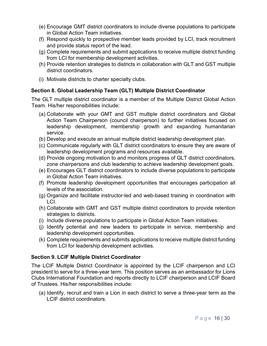- (e) Encourage GMT district coordinators to include diverse populations to participate in Global Action Team initiatives.
- (f) Respond quickly to prospective member leads provided by LCI, track recruitment and provide status report of the lead.
- (g) Complete requirements and submit applications to receive multiple district funding from LCI for membership development activities.
- (h) Provide retention strategies to districts in collaboration with GLT and GST multiple district coordinators.
- (i) Motivate districts to charter specialty clubs.

#### Section 8. Global Leadership Team (GLT) Multiple District Coordinator

The GLT multiple district coordinator is a member of the Multiple District Global Action Team. His/her responsibilities include:

- (a) Collaborate with your GMT and GST multiple district coordinators and Global Action Team Chairperson (council chairperson) to further initiatives focused on leadership development, membership growth and expanding humanitarian service.
- (b) Develop and execute an annual multiple district leadership development plan.
- (c) Communicate regularly with GLT district coordinators to ensure they are aware of leadership development programs and resources available.
- (d) Provide ongoing motivation to and monitors progress of GLT district coordinators, zone chairpersons and club leadership to achieve leadership development goals.
- (e) Encourages GLT district coordinators to include diverse populations to participate in Global Action Team initiatives.
- (f) Promote leadership development opportunities that encourages participation all levels of the association.
- (g) Organize and facilitate instructor-led and web-based training in coordination with LCI.
- (h) Collaborate with GMT and GST multiple district coordinators to provide retention strategies to districts.
- (i) Include diverse populations to participate in Global Action Team initiatives.
- (j) Identify potential and new leaders to participate in service, membership and leadership development opportunities.
- (k) Complete requirements and submits applications to receive multiple district funding from LCI for leadership development activities.

#### Section 9. LCIF Multiple District Coordinator

The LCIF Multiple District Coordinator is appointed by the LCIF chairperson and LCI president to serve for a three-year term. This position serves as an ambassador for Lions Clubs International Foundation and reports directly to LCIF chairperson and LCIF Board of Trustees. His/her responsibilities include:

(a) Identify, recruit and train a Lion in each district to serve a three-year term as the LCIF district coordinators.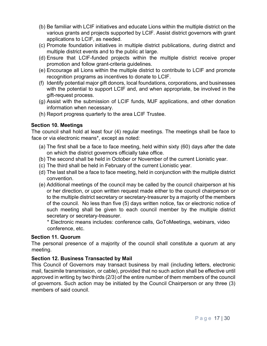- (b) Be familiar with LCIF initiatives and educate Lions within the multiple district on the various grants and projects supported by LCIF. Assist district governors with grant applications to LCIF, as needed.
- (c) Promote foundation initiatives in multiple district publications, during district and multiple district events and to the public at large.
- (d) Ensure that LCIF-funded projects within the multiple district receive proper promotion and follow grant-criteria guidelines.
- (e) Encourage all Lions within the multiple district to contribute to LCIF and promote recognition programs as incentives to donate to LCIF.
- (f) Identify potential major gift donors, local foundations, corporations, and businesses with the potential to support LCIF and, and when appropriate, be involved in the gift-request process.
- (g) Assist with the submission of LCIF funds, MJF applications, and other donation information when necessary.
- (h) Report progress quarterly to the area LCIF Trustee.

#### Section 10. Meetings

The council shall hold at least four (4) regular meetings. The meetings shall be face to face or via electronic means\*, except as noted:

- (a) The first shall be a face to face meeting, held within sixty (60) days after the date on which the district governors officially take office.
- (b) The second shall be held in October or November of the current Lionistic year.
- (c) The third shall be held in February of the current Lionistic year.
- (d) The last shall be a face to face meeting, held in conjunction with the multiple district convention.
- (e) Additional meetings of the council may be called by the council chairperson at his or her direction, or upon written request made either to the council chairperson or to the multiple district secretary or secretary-treasurer by a majority of the members of the council. No less than five (5) days written notice, fax or electronic notice of such meeting shall be given to each council member by the multiple district secretary or secretary-treasurer.
	- \* Electronic means includes: conference calls, GoToMeetings, webinars, video conference, etc.

#### Section 11. Quorum

The personal presence of a majority of the council shall constitute a quorum at any meeting.

#### Section 12. Business Transacted by Mail

This Council of Governors may transact business by mail (including letters, electronic mail, facsimile transmission, or cable), provided that no such action shall be effective until approved in writing by two thirds (2/3) of the entire number of them members of the council of governors. Such action may be initiated by the Council Chairperson or any three (3) members of said council.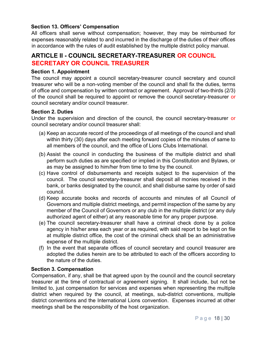#### Section 13. Officers' Compensation

All officers shall serve without compensation; however, they may be reimbursed for expenses reasonably related to and incurred in the discharge of the duties of their offices in accordance with the rules of audit established by the multiple district policy manual.

### ARTICLE II - COUNCIL SECRETARY-TREASURER OR COUNCIL SECRETARY OR COUNCIL TREASURER

#### Section 1. Appointment

The council may appoint a council secretary-treasurer council secretary and council treasurer who will be a non-voting member of the council and shall fix the duties, terms of office and compensation by written contract or agreement. Approval of two-thirds (2/3) of the council shall be required to appoint or remove the council secretary-treasurer or council secretary and/or council treasurer.

#### Section 2. Duties

Under the supervision and direction of the council, the council secretary-treasurer or council secretary and/or council treasurer shall:

- (a) Keep an accurate record of the proceedings of all meetings of the council and shall within thirty (30) days after each meeting forward copies of the minutes of same to all members of the council, and the office of Lions Clubs International.
- (b) Assist the council in conducting the business of the multiple district and shall perform such duties as are specified or implied in this Constitution and Bylaws, or as may be assigned to him/her from time to time by the council.
- (c) Have control of disbursements and receipts subject to the supervision of the council. The council secretary-treasurer shall deposit all monies received in the bank, or banks designated by the council, and shall disburse same by order of said council.
- (d) Keep accurate books and records of accounts and minutes of all Council of Governors and multiple district meetings, and permit inspection of the same by any member of the Council of Governors or any club in the multiple district (or any duly authorized agent of either) at any reasonable time for any proper purpose.
- (e) The council secretary-treasurer shall have a criminal check done by a police agency in his/her area each year or as required, with said report to be kept on file at multiple district office, the cost of the criminal check shall be an administrative expense of the multiple district.
- (f) In the event that separate offices of council secretary and council treasurer are adopted the duties herein are to be attributed to each of the officers according to the nature of the duties.

#### Section 3. Compensation

Compensation, if any, shall be that agreed upon by the council and the council secretary treasurer at the time of contractual or agreement signing. It shall include, but not be limited to, just compensation for services and expenses when representing the multiple district when required by the council, at meetings, sub-district conventions, multiple district conventions and the International Lions convention. Expenses incurred at other meetings shall be the responsibility of the host organization.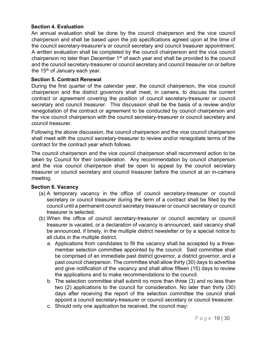#### Section 4. Evaluation

An annual evaluation shall be done by the council chairperson and the vice council chairperson and shall be based upon the job specifications agreed upon at the time of the council secretary-treasurer's or council secretary and council treasurer appointment. A written evaluation shall be completed by the council chairperson and the vice council chairperson no later than December 1<sup>st</sup> of each year and shall be provided to the council and the council secretary-treasurer or council secretary and council treasurer on or before the  $15<sup>th</sup>$  of January each year.

#### Section 5. Contract Renewal

During the first quarter of the calendar year, the council chairperson, the vice council chairperson and the district governors shall meet, in camera, to discuss the current contract or agreement covering the position of council secretary-treasurer or council secretary and council treasurer. This discussion shall be the basis of a review and/or renegotiation of the contract or agreement to be conducted by council chairperson and the vice council chairperson with the council secretary-treasurer or council secretary and council treasurer.

Following the above discussion, the council chairperson and the vice council chairperson shall meet with the council secretary-treasurer to review and/or renegotiate terms of the contract for the contract year which follows.

The council chairperson and the vice council chairperson shall recommend action to be taken by Council for their consideration. Any recommendation by council chairperson and the vice council chairperson shall be open to appeal by the council secretary treasurer or council secretary and council treasurer before the council at an in-camera meeting.

#### Section 6. Vacancy

- (a) A temporary vacancy in the office of council secretary-treasurer or council secretary or council treasurer during the term of a contract shall be filled by the council until a permanent council secretary treasurer or council secretary or council treasurer is selected.
- (b) When the office of council secretary-treasurer or council secretary or council treasurer is vacated, or a declaration of vacancy is announced, said vacancy shall be announced, if timely, in the multiple district newsletter or by a special notice to all clubs in the multiple district.
	- a. Applications from candidates to fill the vacancy shall be accepted by a threemember selection committee appointed by the council. Said committee shall be comprised of an immediate past district governor, a district governor, and a past council chairperson. The committee shall allow thirty (30) days to advertise and give notification of the vacancy and shall allow fifteen (15) days to review the applications and to make recommendations to the council.
	- b. The selection committee shall submit no more than three (3) and no less than two (2) applications to the council for consideration. No later than thirty (30) days after receiving the report of the selection committee the council shall appoint a council secretary-treasurer or council secretary or council treasurer.
	- c. Should only one application be received, the council may: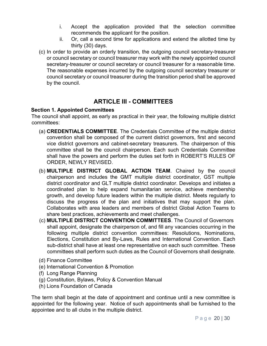- i. Accept the application provided that the selection committee recommends the applicant for the position.
- ii. Or, call a second time for applications and extend the allotted time by thirty (30) days.
- (c) In order to provide an orderly transition, the outgoing council secretary-treasurer or council secretary or council treasurer may work with the newly appointed council secretary-treasurer or council secretary or council treasurer for a reasonable time. The reasonable expenses incurred by the outgoing council secretary treasurer or council secretary or council treasurer during the transition period shall be approved by the council.

## ARTICLE III - COMMITTEES

#### Section 1. Appointed Committees

The council shall appoint, as early as practical in their year, the following multiple district committees:

- (a) CREDENTIALS COMMITTEE. The Credentials Committee of the multiple district convention shall be composed of the current district governors, first and second vice district governors and cabinet-secretary treasurers. The chairperson of this committee shall be the council chairperson. Each such Credentials Committee shall have the powers and perform the duties set forth in ROBERT'S RULES OF ORDER, NEWLY REVISED.
- (b) MULTIPLE DISTRICT GLOBAL ACTION TEAM. Chaired by the council chairperson and includes the GMT multiple district coordinator, GST multiple district coordinator and GLT multiple district coordinator. Develops and initiates a coordinated plan to help expand humanitarian service, achieve membership growth, and develop future leaders within the multiple district. Meets regularly to discuss the progress of the plan and initiatives that may support the plan. Collaborates with area leaders and members of district Global Action Teams to share best practices, achievements and meet challenges.
- (c) MULTIPLE DISTRICT CONVENTION COMMITTEES. The Council of Governors shall appoint, designate the chairperson of, and fill any vacancies occurring in the following multiple district convention committees: Resolutions, Nominations, Elections, Constitution and By-Laws, Rules and International Convention. Each sub-district shall have at least one representative on each such committee. These committees shall perform such duties as the Council of Governors shall designate.
- (d) Finance Committee
- (e) International Convention & Promotion
- (f) Long Range Planning
- (g) Constitution, Bylaws, Policy & Convention Manual
- (h) Lions Foundation of Canada

The term shall begin at the date of appointment and continue until a new committee is appointed for the following year. Notice of such appointments shall be furnished to the appointee and to all clubs in the multiple district.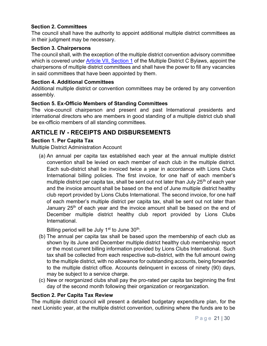#### Section 2. Committees

The council shall have the authority to appoint additional multiple district committees as in their judgment may be necessary.

#### Section 3. Chairpersons

The council shall, with the exception of the multiple district convention advisory committee which is covered under Article VII, Section 1 of the Multiple District C Bylaws, appoint the chairpersons of multiple district committees and shall have the power to fill any vacancies in said committees that have been appointed by them.

#### Section 4. Additional Committees

Additional multiple district or convention committees may be ordered by any convention assembly.

#### Section 5. Ex-Officio Members of Standing Committees

The vice-council chairperson and present and past International presidents and international directors who are members in good standing of a multiple district club shall be ex-officio members of all standing committees.

## ARTICLE IV - RECEIPTS AND DISBURSEMENTS

#### Section 1. Per Capita Tax

Multiple District Administration Account

(a) An annual per capita tax established each year at the annual multiple district convention shall be levied on each member of each club in the multiple district. Each sub-district shall be invoiced twice a year in accordance with Lions Clubs International billing policies. The first invoice, for one half of each member's multiple district per capita tax, shall be sent out not later than July  $25<sup>th</sup>$  of each year and the invoice amount shall be based on the end of June multiple district healthy club report provided by Lions Clubs International. The second invoice, for one half of each member's multiple district per capita tax, shall be sent out not later than January 25<sup>th</sup> of each year and the invoice amount shall be based on the end of December multiple district healthy club report provided by Lions Clubs International.

Billing period will be July 1<sup>st</sup> to June 30<sup>th</sup>.

- (b) The annual per capita tax shall be based upon the membership of each club as shown by its June and December multiple district healthy club membership report or the most current billing information provided by Lions Clubs International. Such tax shall be collected from each respective sub-district, with the full amount owing to the multiple district, with no allowance for outstanding accounts, being forwarded to the multiple district office. Accounts delinquent in excess of ninety (90) days, may be subject to a service charge.
- (c) New or reorganized clubs shall pay the pro-rated per capita tax beginning the first day of the second month following their organization or reorganization.

#### Section 2. Per Capita Tax Review

The multiple district council will present a detailed budgetary expenditure plan, for the next Lionistic year, at the multiple district convention, outlining where the funds are to be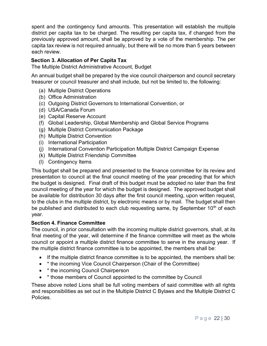spent and the contingency fund amounts. This presentation will establish the multiple district per capita tax to be charged. The resulting per capita tax, if changed from the previously approved amount, shall be approved by a vote of the membership. The per capita tax review is not required annually, but there will be no more than 5 years between each review.

#### Section 3. Allocation of Per Capita Tax

The Multiple District Administrative Account, Budget

An annual budget shall be prepared by the vice council chairperson and council secretary treasurer or council treasurer and shall include, but not be limited to, the following:

- (a) Multiple District Operations
- (b) Office Administration
- (c) Outgoing District Governors to International Convention, or
- (d) USA/Canada Forum
- (e) Capital Reserve Account
- (f) Global Leadership, Global Membership and Global Service Programs
- (g) Multiple District Communication Package
- (h) Multiple District Convention
- (i) International Participation
- (j) International Convention Participation Multiple District Campaign Expense
- (k) Multiple District Friendship Committee
- (l) Contingency Items

This budget shall be prepared and presented to the finance committee for its review and presentation to council at the final council meeting of the year preceding that for which the budget is designed. Final draft of this budget must be adopted no later than the first council meeting of the year for which the budget is designed. The approved budget shall be available for distribution 30 days after the first council meeting, upon written request, to the clubs in the multiple district, by electronic means or by mail. The budget shall then be published and distributed to each club requesting same, by September  $10<sup>th</sup>$  of each year.

#### Section 4. Finance Committee

The council, in prior consultation with the incoming multiple district governors, shall, at its final meeting of the year, will determine if the finance committee will meet as the whole council or appoint a multiple district finance committee to serve in the ensuing year. If the multiple district finance committee is to be appointed, the members shall be:

- If the multiple district finance committee is to be appointed, the members shall be:
- \* the incoming Vice Council Chairperson (Chair of the Committee)
- \* the incoming Council Chairperson
- \* those members of Council appointed to the committee by Council

These above noted Lions shall be full voting members of said committee with all rights and responsibilities as set out in the Multiple District C Bylaws and the Multiple District C Policies.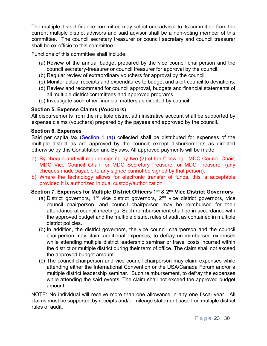The multiple district finance committee may select one advisor to its committee from the current multiple district advisors and said advisor shall be a non-voting member of this committee. The council secretary treasurer or council secretary and council treasurer shall be ex-officio to this committee.

Functions of this committee shall include:

- (a) Review of the annual budget prepared by the vice council chairperson and the council secretary-treasurer or council treasurer for approval by the council.
- (b) Regular review of extraordinary vouchers for approval by the council.
- (c) Monitor actual receipts and expenditures to budget and alert council to deviations.
- (d) Review and recommend for council approval, budgets and financial statements of all multiple district committees and approved programs.
- (e) Investigate such other financial matters as directed by council.

#### Section 5. Expense Claims (Vouchers)

All disbursements from the multiple district administrative account shall be supported by expense claims (vouchers) prepared by the payees and approved by the council.

#### Section 6. Expenses

Said per capita tax (Section 1 (a)) collected shall be distributed for expenses of the multiple district as are approved by the council; except disbursements as directed otherwise by this Constitution and Bylaws. All approved payments will be made:

- a) By cheque and will require signing by two (2) of the following: MDC Council Chair; MDC Vice Council Chair; or MDC Secretary-Treasurer or MDC Treasurer (any cheques made payable to any signee cannot be signed by that person).
- b) Where the technology allows for electronic transfer of funds, this is acceptable provided it is authorized in dual custody/authorization.

#### Section 7. Expenses for Multiple District Officers 1<sup>st</sup> & 2<sup>nd</sup> Vice District Governors

- (a) District governors,  $1^{st}$  vice district governors,  $2^{nd}$  vice district governors, vice council chairperson, and council chairperson may be reimbursed for their attendance at council meetings. Such reimbursement shall be in accordance with the approved budget and the multiple district rules of audit as contained in multiple district policies.
- (b) In addition, the district governors, the vice council chairperson and the council chairperson may claim additional expenses, to defray un-reimbursed expenses while attending multiple district leadership seminar or travel costs incurred within the district or multiple district during their term of office. The claim shall not exceed the approved budget amount.
- (c) The council chairperson and vice council chairperson may claim expenses while attending either the International Convention or the USA/Canada Forum and/or a multiple district leadership seminar. Such reimbursement, to defray the expenses while attending the said events. The claim shall not exceed the approved budget amount.

NOTE: No individual will receive more than one allowance in any one fiscal year. All claims must be supported by receipts and/or mileage statement based on multiple district rules of audit.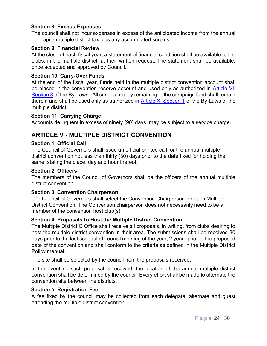#### Section 8. Excess Expenses

The council shall not incur expenses in excess of the anticipated income from the annual per capita multiple district tax plus any accumulated surplus.

#### Section 9. Financial Review

At the close of each fiscal year, a statement of financial condition shall be available to the clubs, in the multiple district, at their written request. The statement shall be available, once accepted and approved by Council.

#### Section 10. Carry-Over Funds

At the end of the fiscal year, funds held in the multiple district convention account shall be placed in the convention reserve account and used only as authorized in Article VI, Section 3 of the By-Laws. All surplus money remaining in the campaign fund shall remain therein and shall be used only as authorized in Article X, Section 1 of the By-Laws of the multiple district.

#### Section 11. Carrying Charge

Accounts delinquent in excess of ninety (90) days, may be subject to a service charge.

## ARTICLE V - MULTIPLE DISTRICT CONVENTION

#### Section 1. Official Call

The Council of Governors shall issue an official printed call for the annual multiple district convention not less than thirty (30) days prior to the date fixed for holding the same, stating the place, day and hour thereof.

#### Section 2. Officers

The members of the Council of Governors shall be the officers of the annual multiple district convention.

#### Section 3. Convention Chairperson

The Council of Governors shall select the Convention Chairperson for each Multiple District Convention. The Convention chairperson does not necessarily need to be a member of the convention host club(s).

#### Section 4. Proposals to Host the Multiple District Convention

The Multiple District C Office shall receive all proposals, in writing, from clubs desiring to host the multiple district convention in their area. The submissions shall be received 30 days prior to the last scheduled council meeting of the year, 2 years prior to the proposed date of the convention and shall conform to the criteria as defined in the Multiple District Policy manual.

The site shall be selected by the council from the proposals received.

In the event no such proposal is received, the location of the annual multiple district convention shall be determined by the council. Every effort shall be made to alternate the convention site between the districts.

#### Section 5. Registration Fee

A fee fixed by the council may be collected from each delegate, alternate and guest attending the multiple district convention.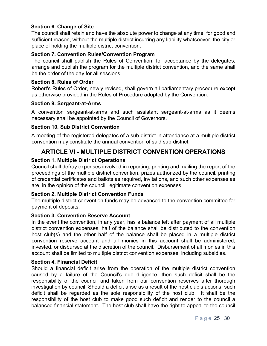#### Section 6. Change of Site

The council shall retain and have the absolute power to change at any time, for good and sufficient reason, without the multiple district incurring any liability whatsoever, the city or place of holding the multiple district convention.

#### Section 7. Convention Rules/Convention Program

The council shall publish the Rules of Convention, for acceptance by the delegates, arrange and publish the program for the multiple district convention, and the same shall be the order of the day for all sessions.

#### Section 8. Rules of Order

Robert's Rules of Order, newly revised, shall govern all parliamentary procedure except as otherwise provided in the Rules of Procedure adopted by the Convention.

#### Section 9. Sergeant-at-Arms

A convention sergeant-at-arms and such assistant sergeant-at-arms as it deems necessary shall be appointed by the Council of Governors.

#### Section 10. Sub District Convention

A meeting of the registered delegates of a sub-district in attendance at a multiple district convention may constitute the annual convention of said sub-district.

## ARTICLE VI - MULTIPLE DISTRICT CONVENTION OPERATIONS

#### Section 1. Multiple District Operations

Council shall defray expenses involved in reporting, printing and mailing the report of the proceedings of the multiple district convention, prizes authorized by the council, printing of credential certificates and ballots as required, invitations, and such other expenses as are, in the opinion of the council, legitimate convention expenses.

#### Section 2. Multiple District Convention Funds

The multiple district convention funds may be advanced to the convention committee for payment of deposits.

#### Section 3. Convention Reserve Account

In the event the convention, in any year, has a balance left after payment of all multiple district convention expenses, half of the balance shall be distributed to the convention host club(s) and the other half of the balance shall be placed in a multiple district convention reserve account and all monies in this account shall be administered, invested, or disbursed at the discretion of the council. Disbursement of all monies in this account shall be limited to multiple district convention expenses, including subsidies.

#### Section 4. Financial Deficit

Should a financial deficit arise from the operation of the multiple district convention caused by a failure of the Council's due diligence, then such deficit shall be the responsibility of the council and taken from our convention reserves after thorough investigation by council. Should a deficit arise as a result of the host club's actions, such deficit shall be regarded as the sole responsibility of the host club. It shall be the responsibility of the host club to make good such deficit and render to the council a balanced financial statement. The host club shall have the right to appeal to the council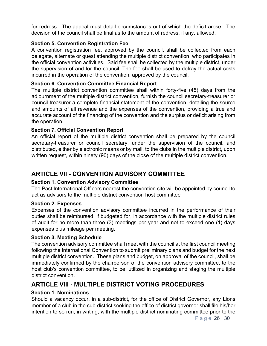for redress. The appeal must detail circumstances out of which the deficit arose. The decision of the council shall be final as to the amount of redress, if any, allowed.

#### Section 5. Convention Registration Fee

A convention registration fee, approved by the council, shall be collected from each delegate, alternate or guest attending the multiple district convention, who participates in the official convention activities. Said fee shall be collected by the multiple district, under the supervision of and for the council. The fee shall be used to defray the actual costs incurred in the operation of the convention, approved by the council.

#### Section 6. Convention Committee Financial Report

The multiple district convention committee shall within forty-five (45) days from the adjournment of the multiple district convention, furnish the council secretary-treasurer or council treasurer a complete financial statement of the convention, detailing the source and amounts of all revenue and the expenses of the convention, providing a true and accurate account of the financing of the convention and the surplus or deficit arising from the operation.

#### Section 7. Official Convention Report

An official report of the multiple district convention shall be prepared by the council secretary-treasurer or council secretary, under the supervision of the council, and distributed, either by electronic means or by mail, to the clubs in the multiple district, upon written request, within ninety (90) days of the close of the multiple district convention.

## ARTICLE VII - CONVENTION ADVISORY COMMITTEE

#### Section 1. Convention Advisory Committee

The Past International Officers nearest the convention site will be appointed by council to act as advisors to the multiple district convention host committee

#### Section 2. Expenses

Expenses of the convention advisory committee incurred in the performance of their duties shall be reimbursed, if budgeted for, in accordance with the multiple district rules of audit for no more than three (3) meetings per year and not to exceed one (1) days expenses plus mileage per meeting.

#### Section 3. Meeting Schedule

The convention advisory committee shall meet with the council at the first council meeting following the International Convention to submit preliminary plans and budget for the next multiple district convention. These plans and budget, on approval of the council, shall be immediately confirmed by the chairperson of the convention advisory committee, to the host club's convention committee, to be, utilized in organizing and staging the multiple district convention.

## ARTICLE VIII - MULTIPLE DISTRICT VOTING PROCEDURES

#### Section 1. Nominations

Should a vacancy occur, in a sub-district, for the office of District Governor, any Lions member of a club in the sub-district seeking the office of district governor shall file his/her intention to so run, in writing, with the multiple district nominating committee prior to the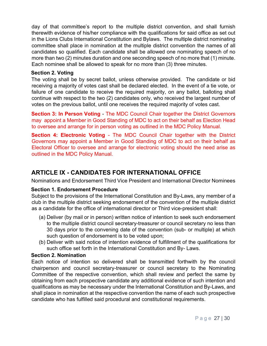day of that committee's report to the multiple district convention, and shall furnish therewith evidence of his/her compliance with the qualifications for said office as set out in the Lions Clubs International Constitution and Bylaws. The multiple district nominating committee shall place in nomination at the multiple district convention the names of all candidates so qualified. Each candidate shall be allowed one nominating speech of no more than two (2) minutes duration and one seconding speech of no more that (1) minute. Each nominee shall be allowed to speak for no more than (3) three minutes.

#### Section 2. Voting

The voting shall be by secret ballot, unless otherwise provided. The candidate or bid receiving a majority of votes cast shall be declared elected. In the event of a tie vote, or failure of one candidate to receive the required majority, on any ballot, balloting shall continue with respect to the two (2) candidates only, who received the largest number of votes on the previous ballot, until one receives the required majority of votes cast.

Section 3: In Person Voting - The MDC Council Chair together the District Governors may appoint a Member in Good Standing of MDC to act on their behalf as Election Head to oversee and arrange for in person voting as outlined in the MDC Policy Manual.

Section 4: Electronic Voting - The MDC Council Chair together with the District Governors may appoint a Member in Good Standing of MDC to act on their behalf as Electoral Officer to oversee and arrange for electronic voting should the need arise as outlined in the MDC Policy Manual.

## ARTICLE IX - CANDIDATES FOR INTERNATIONAL OFFICE

Nominations and Endorsement Third Vice President and International Director Nominees

#### Section 1. Endorsement Procedure

Subject to the provisions of the International Constitution and By-Laws, any member of a club in the multiple district seeking endorsement of the convention of the multiple district as a candidate for the office of international director or Third vice-president shall:

- (a) Deliver (by mail or in person) written notice of intention to seek such endorsement to the multiple district council secretary-treasurer or council secretary no less than 30 days prior to the convening date of the convention (sub- or multiple) at which such question of endorsement is to be voted upon;
- (b) Deliver with said notice of intention evidence of fulfillment of the qualifications for such office set forth in the International Constitution and By- Laws.

#### Section 2. Nomination

Each notice of intention so delivered shall be transmitted forthwith by the council chairperson and council secretary-treasurer or council secretary to the Nominating Committee of the respective convention, which shall review and perfect the same by obtaining from each prospective candidate any additional evidence of such intention and qualifications as may be necessary under the International Constitution and By-Laws, and shall place in nomination at the respective convention the name of each such prospective candidate who has fulfilled said procedural and constitutional requirements.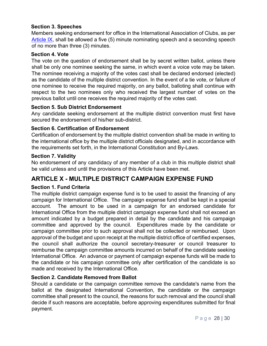#### Section 3. Speeches

Members seeking endorsement for office in the International Association of Clubs, as per Article IX, shall be allowed a five (5) minute nominating speech and a seconding speech of no more than three (3) minutes.

#### Section 4. Vote

The vote on the question of endorsement shall be by secret written ballot, unless there shall be only one nominee seeking the same, in which event a voice vote may be taken. The nominee receiving a majority of the votes cast shall be declared endorsed (elected) as the candidate of the multiple district convention. In the event of a tie vote, or failure of one nominee to receive the required majority, on any ballot, balloting shall continue with respect to the two nominees only who received the largest number of votes on the previous ballot until one receives the required majority of the votes cast.

#### Section 5. Sub District Endorsement

Any candidate seeking endorsement at the multiple district convention must first have secured the endorsement of his/her sub-district.

#### Section 6. Certification of Endorsement

Certification of endorsement by the multiple district convention shall be made in writing to the international office by the multiple district officials designated, and in accordance with the requirements set forth, in the International Constitution and By-Laws.

#### Section 7. Validity

No endorsement of any candidacy of any member of a club in this multiple district shall be valid unless and until the provisions of this Article have been met.

## ARTICLE X - MULTIPLE DISTRICT CAMPAIGN EXPENSE FUND

#### Section 1. Fund Criteria

The multiple district campaign expense fund is to be used to assist the financing of any campaign for International Office. The campaign expense fund shall be kept in a special account. The amount to be used in a campaign for an endorsed candidate for International Office from the multiple district campaign expense fund shall not exceed an amount indicated by a budget prepared in detail by the candidate and his campaign committee and approved by the council. Expenditures made by the candidate or campaign committee prior to such approval shall not be collected or reimbursed. Upon approval of the budget and upon receipt at the multiple district office of certified expenses, the council shall authorize the council secretary-treasurer or council treasurer to reimburse the campaign committee amounts incurred on behalf of the candidate seeking International Office. An advance or payment of campaign expense funds will be made to the candidate or his campaign committee only after certification of the candidate is so made and received by the International Office.

#### Section 2. Candidate Removed from Ballot

Should a candidate or the campaign committee remove the candidate's name from the ballot at the designated International Convention, the candidate or the campaign committee shall present to the council, the reasons for such removal and the council shall decide if such reasons are acceptable, before approving expenditures submitted for final payment.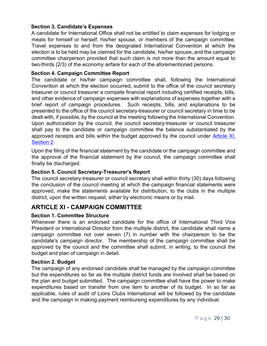#### Section 3. Candidate's Expenses

A candidate for International Office shall not be entitled to claim expenses for lodging or meals for himself or herself, his/her spouse, or members of the campaign committee. Travel expenses to and from the designated International Convention at which the election is to be held may be claimed for the candidate, his/her spouse, and the campaign committee chairperson provided that such claim is not more than the amount equal to two-thirds (2/3) of the economy airfare for each of the aforementioned persons.

#### Section 4. Campaign Committee Report

The candidate or his/her campaign committee shall, following the International Convention at which the election occurred, submit to the office of the council secretary treasurer or council treasurer a compete financial report including certified receipts, bills, and other evidence of campaign expenses with explanations of expenses together with a brief report of campaign procedures. Such receipts, bills, and explanations to be presented to the office of the council secretary-treasurer or council secretary in time to be dealt with, if possible, by the council at the meeting following the International Convention. Upon authorization by the council, the council secretary-treasurer or council treasurer shall pay to the candidate or campaign committee the balance substantiated by the approved receipts and bills within the budget approved by the council under Article XI, Section 2.

Upon the filing of the financial statement by the candidate or the campaign committee and the approval of the financial statement by the council, the campaign committee shall finally be discharged.

#### Section 5. Council Secretary-Treasurer's Report

The council secretary-treasurer or council secretary shall within thirty (30) days following the conclusion of the council meeting at which the campaign financial statements were approved, make the statements available for distribution, to the clubs in the multiple district, upon the written request, either by electronic means or by mail.

## ARTICLE XI - CAMPAIGN COMMITTEE

#### Section 1. Committee Structure

Whenever there is an endorsed candidate for the office of International Third Vice President or International Director from the multiple district, the candidate shall name a campaign committee not over seven (7) in number with the chairperson to be the candidate's campaign director. The membership of the campaign committee shall be approved by the council and the committee shall submit, in writing, to the council the budget and plan of campaign in detail.

#### Section 2. Budget

The campaign of any endorsed candidate shall be managed by the campaign committee but the expenditures so far as the multiple district funds are involved shall be based on the plan and budget submitted. The campaign committee shall have the power to make expenditures based on transfer from one item to another of its budget. In so far as applicable, rules of audit of Lions Clubs International will be followed by the candidate and the campaign in making payment reimbursing expenditures by any individual.